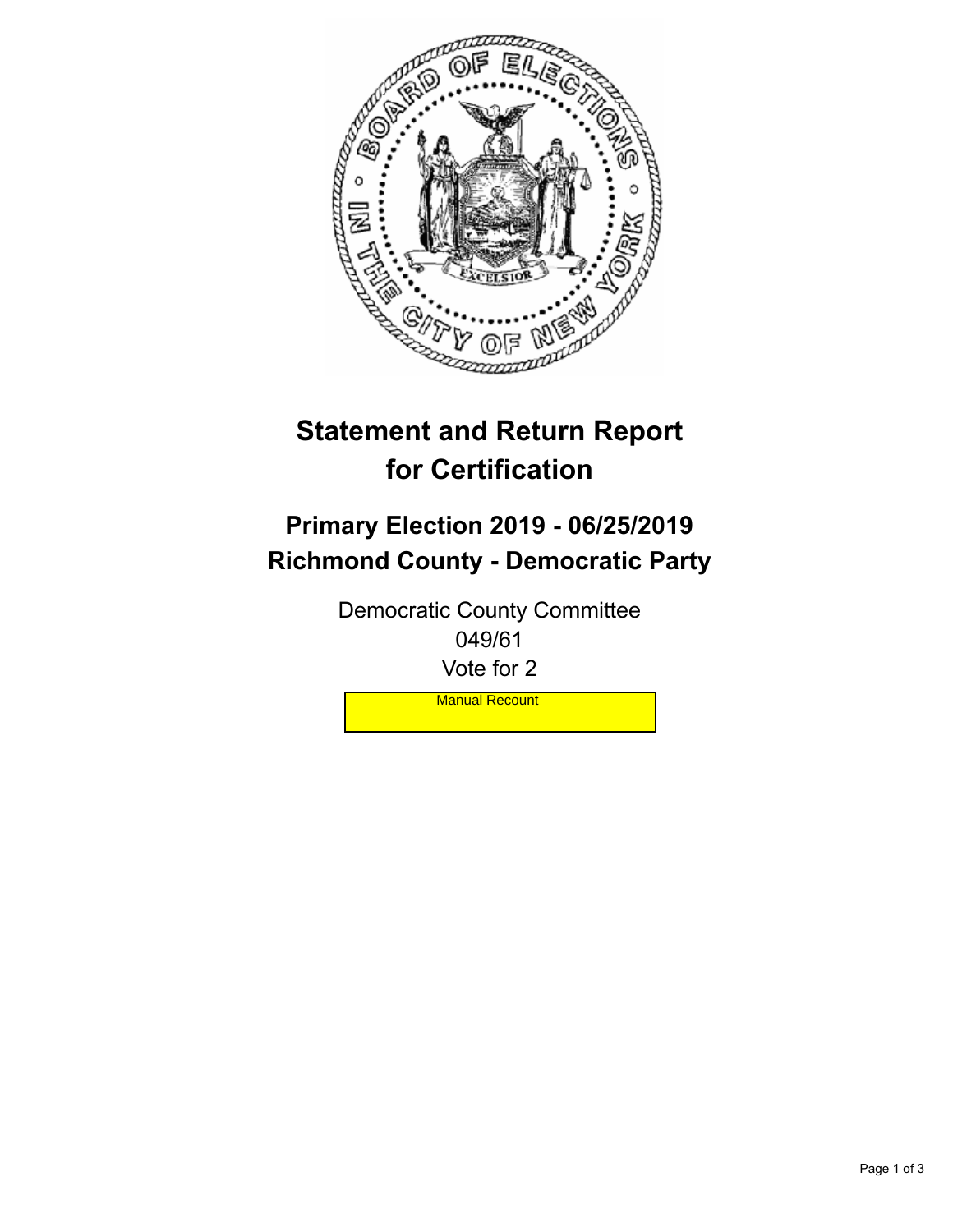

## **Statement and Return Report for Certification**

## **Primary Election 2019 - 06/25/2019 Richmond County - Democratic Party**

Democratic County Committee 049/61 Vote for 2

**Manual Recount**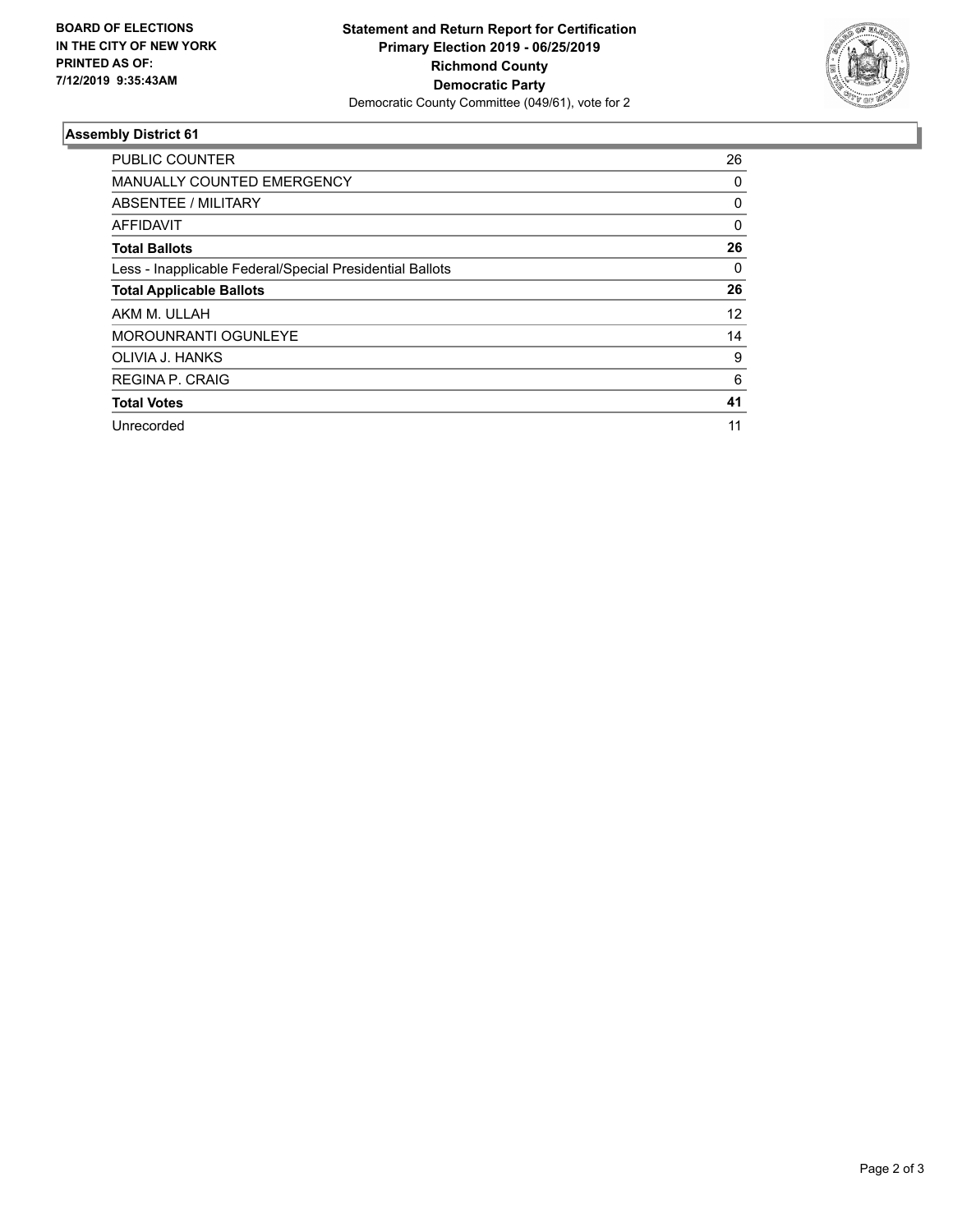

## **Assembly District 61**

| <b>PUBLIC COUNTER</b>                                    | 26       |
|----------------------------------------------------------|----------|
| <b>MANUALLY COUNTED EMERGENCY</b>                        | 0        |
| ABSENTEE / MILITARY                                      | 0        |
| AFFIDAVIT                                                | $\Omega$ |
| <b>Total Ballots</b>                                     | 26       |
| Less - Inapplicable Federal/Special Presidential Ballots | $\Omega$ |
| <b>Total Applicable Ballots</b>                          | 26       |
| AKM M. ULLAH                                             | 12       |
| <b>MOROUNRANTI OGUNLEYE</b>                              | 14       |
| OLIVIA J. HANKS                                          | 9        |
| <b>REGINA P. CRAIG</b>                                   | 6        |
| <b>Total Votes</b>                                       | 41       |
| Unrecorded                                               | 11       |